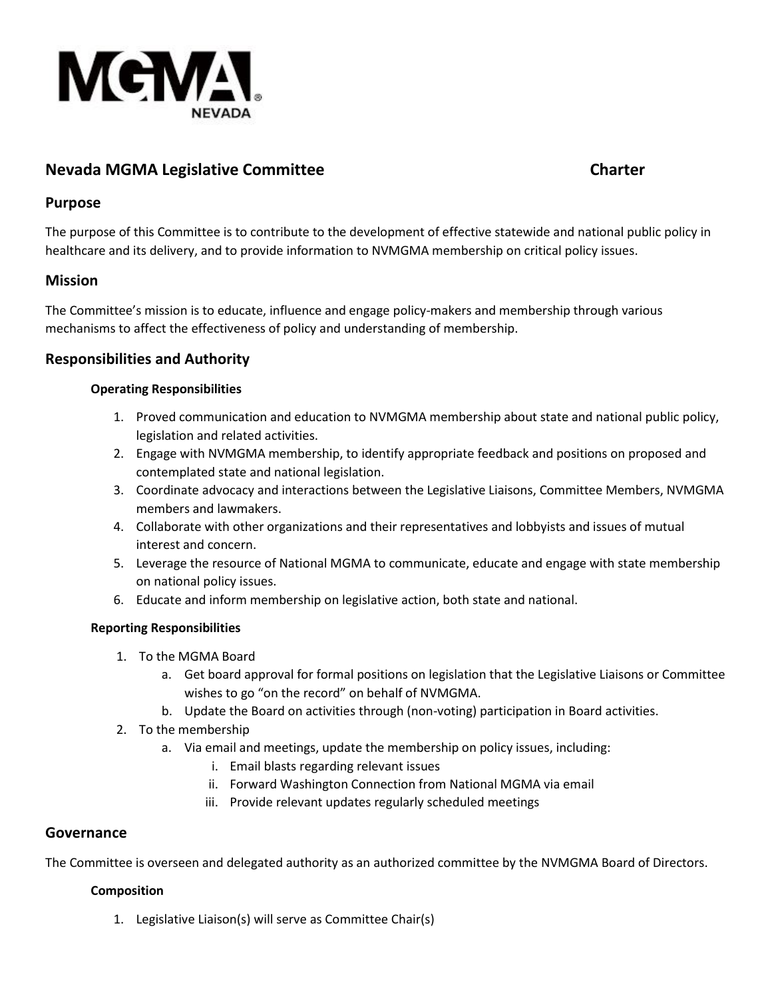

# **Nevada MGMA Legislative Committee <b>Charter Charter Charter**

## **Purpose**

The purpose of this Committee is to contribute to the development of effective statewide and national public policy in healthcare and its delivery, and to provide information to NVMGMA membership on critical policy issues.

## **Mission**

The Committee's mission is to educate, influence and engage policy-makers and membership through various mechanisms to affect the effectiveness of policy and understanding of membership.

## **Responsibilities and Authority**

## **Operating Responsibilities**

- 1. Proved communication and education to NVMGMA membership about state and national public policy, legislation and related activities.
- 2. Engage with NVMGMA membership, to identify appropriate feedback and positions on proposed and contemplated state and national legislation.
- 3. Coordinate advocacy and interactions between the Legislative Liaisons, Committee Members, NVMGMA members and lawmakers.
- 4. Collaborate with other organizations and their representatives and lobbyists and issues of mutual interest and concern.
- 5. Leverage the resource of National MGMA to communicate, educate and engage with state membership on national policy issues.
- 6. Educate and inform membership on legislative action, both state and national.

## **Reporting Responsibilities**

- 1. To the MGMA Board
	- a. Get board approval for formal positions on legislation that the Legislative Liaisons or Committee wishes to go "on the record" on behalf of NVMGMA.
	- b. Update the Board on activities through (non-voting) participation in Board activities.
- 2. To the membership
	- a. Via email and meetings, update the membership on policy issues, including:
		- i. Email blasts regarding relevant issues
		- ii. Forward Washington Connection from National MGMA via email
		- iii. Provide relevant updates regularly scheduled meetings

## **Governance**

The Committee is overseen and delegated authority as an authorized committee by the NVMGMA Board of Directors.

#### **Composition**

1. Legislative Liaison(s) will serve as Committee Chair(s)